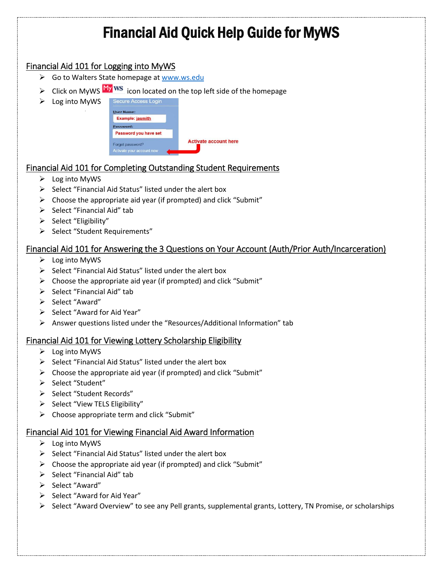# Financial Aid Quick Help Guide for MyWS

### Financial Aid 101 for Logging into MyWS

- ▶ Go to Walters State homepage a[t www.ws.edu](http://www.ws.edu/)
- $\triangleright$  Click on MyWS  $\frac{My}{W}$  WS icon located on the top left side of the homepage
- $\triangleright$  Log into MyWS



# Financial Aid 101 for Completing Outstanding Student Requirements

- $\triangleright$  Log into MyWS
- $\triangleright$  Select "Financial Aid Status" listed under the alert box
- $\triangleright$  Choose the appropriate aid year (if prompted) and click "Submit"
- $\triangleright$  Select "Financial Aid" tab
- $\triangleright$  Select "Eligibility"
- $\triangleright$  Select "Student Requirements"

## Financial Aid 101 for Answering the 3 Questions on Your Account (Auth/Prior Auth/Incarceration)

- $\triangleright$  Log into MyWS
- $\triangleright$  Select "Financial Aid Status" listed under the alert box
- $\triangleright$  Choose the appropriate aid year (if prompted) and click "Submit"
- $\triangleright$  Select "Financial Aid" tab
- $\triangleright$  Select "Award"
- $\triangleright$  Select "Award for Aid Year"
- Answer questions listed under the "Resources/Additional Information" tab

### Financial Aid 101 for Viewing Lottery Scholarship Eligibility

- $\triangleright$  Log into MyWS
- $\triangleright$  Select "Financial Aid Status" listed under the alert box
- $\triangleright$  Choose the appropriate aid year (if prompted) and click "Submit"
- > Select "Student"
- $\triangleright$  Select "Student Records"
- $\triangleright$  Select "View TELS Eligibility"
- $\triangleright$  Choose appropriate term and click "Submit"

#### Financial Aid 101 for Viewing Financial Aid Award Information

- $\triangleright$  Log into MyWS
- $\triangleright$  Select "Financial Aid Status" listed under the alert box
- $\triangleright$  Choose the appropriate aid year (if prompted) and click "Submit"
- $\triangleright$  Select "Financial Aid" tab
- > Select "Award"
- $\triangleright$  Select "Award for Aid Year"
- $\triangleright$  Select "Award Overview" to see any Pell grants, supplemental grants, Lottery, TN Promise, or scholarships